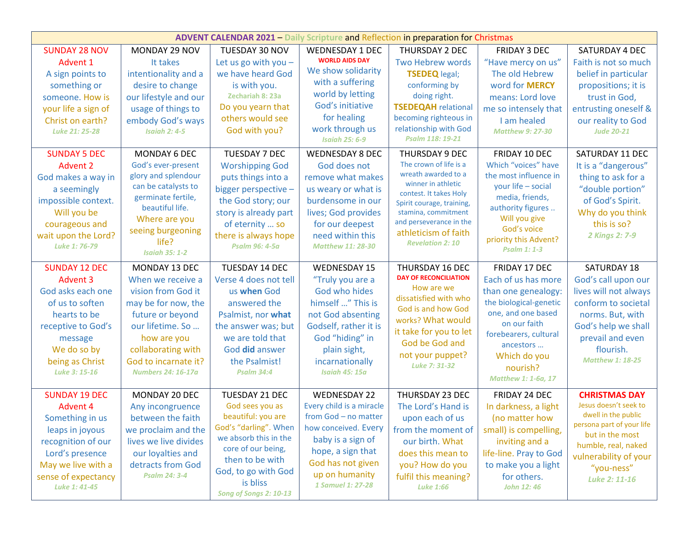| <b>ADVENT CALENDAR 2021 - Daily Scripture and Reflection in preparation for Christmas</b>                                                                                                                                                                                                                                           |                                                                                                                                                                                                                                                                                                                                               |                                                                                                                                                                                                                                                                                                                                                                                |                                                                                                                                                                                                                                                                                                                                                                                                   |                                                                                                                                                                                                                                                                                                                                                                                                                                                      |                                                                                                                                                                                                                                                                                                                                                                                           |                                                                                                                                                                                                                                                                                                                                        |  |  |  |
|-------------------------------------------------------------------------------------------------------------------------------------------------------------------------------------------------------------------------------------------------------------------------------------------------------------------------------------|-----------------------------------------------------------------------------------------------------------------------------------------------------------------------------------------------------------------------------------------------------------------------------------------------------------------------------------------------|--------------------------------------------------------------------------------------------------------------------------------------------------------------------------------------------------------------------------------------------------------------------------------------------------------------------------------------------------------------------------------|---------------------------------------------------------------------------------------------------------------------------------------------------------------------------------------------------------------------------------------------------------------------------------------------------------------------------------------------------------------------------------------------------|------------------------------------------------------------------------------------------------------------------------------------------------------------------------------------------------------------------------------------------------------------------------------------------------------------------------------------------------------------------------------------------------------------------------------------------------------|-------------------------------------------------------------------------------------------------------------------------------------------------------------------------------------------------------------------------------------------------------------------------------------------------------------------------------------------------------------------------------------------|----------------------------------------------------------------------------------------------------------------------------------------------------------------------------------------------------------------------------------------------------------------------------------------------------------------------------------------|--|--|--|
| <b>SUNDAY 28 NOV</b><br>Advent 1<br>A sign points to<br>something or<br>someone. How is<br>your life a sign of<br>Christ on earth?<br>Luke 21: 25-28<br><b>SUNDAY 5 DEC</b><br><b>Advent 2</b><br>God makes a way in<br>a seemingly<br>impossible context.<br>Will you be<br>courageous and<br>wait upon the Lord?<br>Luke 1: 76-79 | MONDAY 29 NOV<br>It takes<br>intentionality and a<br>desire to change<br>our lifestyle and our<br>usage of things to<br>embody God's ways<br><b>Isaiah 2: 4-5</b><br>MONDAY 6 DEC<br>God's ever-present<br>glory and splendour<br>can be catalysts to<br>germinate fertile,<br>beautiful life.<br>Where are you<br>seeing burgeoning<br>life? | TUESDAY 30 NOV<br>Let us go with you $-$<br>we have heard God<br>is with you.<br>Zechariah 8: 23a<br>Do you yearn that<br>others would see<br>God with you?<br><b>TUESDAY 7 DEC</b><br><b>Worshipping God</b><br>puts things into a<br>bigger perspective -<br>the God story; our<br>story is already part<br>of eternity  so<br>there is always hope<br><b>Psalm 96: 4-5a</b> | <b>WEDNESDAY 1 DEC</b><br><b>WORLD AIDS DAY</b><br>We show solidarity<br>with a suffering<br>world by letting<br>God's initiative<br>for healing<br>work through us<br><b>Isaiah 25: 6-9</b><br><b>WEDNESDAY 8 DEC</b><br>God does not<br>remove what makes<br>us weary or what is<br>burdensome in our<br>lives; God provides<br>for our deepest<br>need within this<br><b>Matthew 11: 28-30</b> | THURSDAY 2 DEC<br>Two Hebrew words<br><b>TSEDEQ</b> legal;<br>conforming by<br>doing right.<br><b>TSEDEQAH</b> relational<br>becoming righteous in<br>relationship with God<br>Psalm 118: 19-21<br>THURSDAY 9 DEC<br>The crown of life is a<br>wreath awarded to a<br>winner in athletic<br>contest. It takes Holy<br>Spirit courage, training,<br>stamina, commitment<br>and perseverance in the<br>athleticism of faith<br><b>Revelation 2: 10</b> | <b>FRIDAY 3 DEC</b><br>"Have mercy on us"<br>The old Hebrew<br>word for <b>MERCY</b><br>means: Lord love<br>me so intensely that<br>I am healed<br><b>Matthew 9: 27-30</b><br>FRIDAY 10 DEC<br>Which "voices" have<br>the most influence in<br>your life - social<br>media, friends,<br>authority figures<br>Will you give<br>God's voice<br>priority this Advent?<br><b>Psalm 1: 1-3</b> | SATURDAY 4 DEC<br>Faith is not so much<br>belief in particular<br>propositions; it is<br>trust in God,<br>entrusting oneself &<br>our reality to God<br><b>Jude 20-21</b><br>SATURDAY 11 DEC<br>It is a "dangerous"<br>thing to ask for a<br>"double portion"<br>of God's Spirit.<br>Why do you think<br>this is so?<br>2 Kings 2: 7-9 |  |  |  |
| <b>SUNDAY 12 DEC</b><br><b>Advent 3</b><br>God asks each one<br>of us to soften<br>hearts to be<br>receptive to God's<br>message<br>We do so by<br>being as Christ<br>Luke 3: 15-16                                                                                                                                                 | <b>Isaiah 35: 1-2</b><br>MONDAY 13 DEC<br>When we receive a<br>vision from God it<br>may be for now, the<br>future or beyond<br>our lifetime. So<br>how are you<br>collaborating with<br>God to incarnate it?<br><b>Numbers 24: 16-17a</b>                                                                                                    | TUESDAY 14 DEC<br>Verse 4 does not tell<br>us when God<br>answered the<br>Psalmist, nor what<br>the answer was; but<br>we are told that<br>God did answer<br>the Psalmist!<br><b>Psalm 34:4</b>                                                                                                                                                                                | <b>WEDNESDAY 15</b><br>"Truly you are a<br>God who hides<br>himself " This is<br>not God absenting<br>Godself, rather it is<br>God "hiding" in<br>plain sight,<br>incarnationally<br><b>Isaiah 45: 15a</b>                                                                                                                                                                                        | <b>THURSDAY 16 DEC</b><br><b>DAY OF RECONCILIATION</b><br>How are we<br>dissatisfied with who<br>God is and how God<br>works? What would<br>it take for you to let<br>God be God and<br>not your puppet?<br>Luke 7: 31-32                                                                                                                                                                                                                            | FRIDAY 17 DEC<br>Each of us has more<br>than one genealogy:<br>the biological-genetic<br>one, and one based<br>on our faith<br>forebearers, cultural<br>ancestors<br>Which do you<br>nourish?<br>Matthew 1: 1-6a, 17                                                                                                                                                                      | <b>SATURDAY 18</b><br>God's call upon our<br>lives will not always<br>conform to societal<br>norms. But, with<br>God's help we shall<br>prevail and even<br>flourish.<br><b>Matthew 1: 18-25</b>                                                                                                                                       |  |  |  |
| <b>SUNDAY 19 DEC</b><br><b>Advent 4</b><br>Something in us<br>leaps in joyous<br>recognition of our<br>Lord's presence<br>May we live with a<br>sense of expectancy<br>Luke 1: 41-45                                                                                                                                                | MONDAY 20 DEC<br>Any incongruence<br>between the faith<br>we proclaim and the<br>lives we live divides<br>our loyalties and<br>detracts from God<br><b>Psalm 24: 3-4</b>                                                                                                                                                                      | TUESDAY 21 DEC<br>God sees you as<br>beautiful: you are<br>God's "darling". When<br>we absorb this in the<br>core of our being,<br>then to be with<br>God, to go with God<br>is bliss<br>Song of Songs 2: 10-13                                                                                                                                                                | <b>WEDNESDAY 22</b><br>Every child is a miracle<br>from God - no matter<br>how conceived. Every<br>baby is a sign of<br>hope, a sign that<br>God has not given<br>up on humanity<br>1 Samuel 1: 27-28                                                                                                                                                                                             | THURSDAY 23 DEC<br>The Lord's Hand is<br>upon each of us<br>from the moment of<br>our birth. What<br>does this mean to<br>you? How do you<br>fulfil this meaning?<br><b>Luke 1:66</b>                                                                                                                                                                                                                                                                | FRIDAY 24 DEC<br>In darkness, a light<br>(no matter how<br>small) is compelling,<br>inviting and a<br>life-line. Pray to God<br>to make you a light<br>for others.<br><b>John 12: 46</b>                                                                                                                                                                                                  | <b>CHRISTMAS DAY</b><br>Jesus doesn't seek to<br>dwell in the public<br>persona part of your life<br>but in the most<br>humble, real, naked<br>vulnerability of your<br>"you-ness"<br>Luke 2: 11-16                                                                                                                                    |  |  |  |